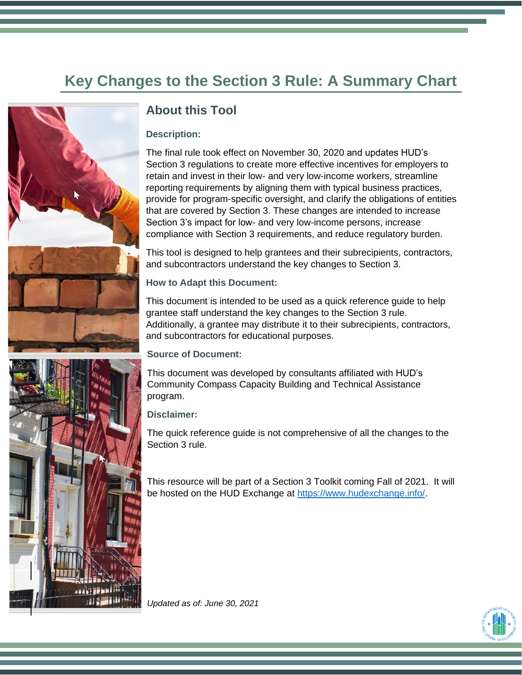# **Key Changes to the Section 3 Rule: A Summary Chart**



## **About this Tool**

### **Description:**

The final rule took effect on November 30, 2020 and updates HUD's Section 3 regulations to create more effective incentives for employers to retain and invest in their low- and very low-income workers, streamline reporting requirements by aligning them with typical business practices, provide for program-specific oversight, and clarify the obligations of entities that are covered by Section 3. These changes are intended to increase Section 3's impact for low- and very low-income persons, increase compliance with Section 3 requirements, and reduce regulatory burden.

This tool is designed to help grantees and their subrecipients, contractors, and subcontractors understand the key changes to Section 3.

### **How to Adapt this Document:**

This document is intended to be used as a quick reference guide to help grantee staff understand the key changes to the Section 3 rule. Additionally, a grantee may distribute it to their subrecipients, contractors, and subcontractors for educational purposes.

#### **Source of Document:**

This document was developed by consultants affiliated with HUD's Community Compass Capacity Building and Technical Assistance program.

#### **Disclaimer:**

The quick reference guide is not comprehensive of all the changes to the Section 3 rule.

This resource will be part of a Section 3 Toolkit coming Fall of 2021. It will be hosted on the HUD Exchange at [https://www.hudexchange.info/.](https://www.hudexchange.info/)

*Updated as of: June 30, 2021*